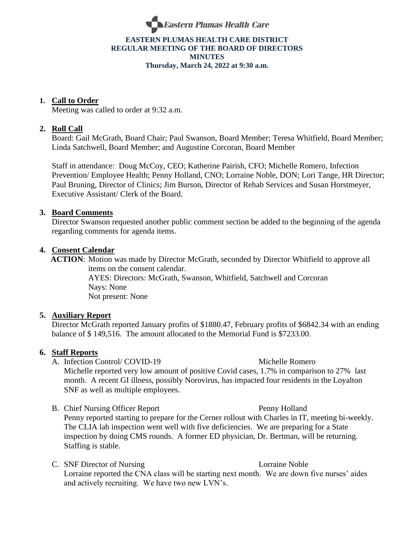

# **EASTERN PLUMAS HEALTH CARE DISTRICT REGULAR MEETING OF THE BOARD OF DIRECTORS MINUTES Thursday, March 24, 2022 at 9:30 a.m.**

# **1. Call to Order**

Meeting was called to order at 9:32 a.m.

# **2. Roll Call**

Board: Gail McGrath, Board Chair; Paul Swanson, Board Member; Teresa Whitfield, Board Member; Linda Satchwell, Board Member; and Augustine Corcoran, Board Member

Staff in attendance: Doug McCoy, CEO; Katherine Pairish, CFO; Michelle Romero, Infection Prevention/ Employee Health; Penny Holland, CNO; Lorraine Noble, DON; Lori Tange, HR Director; Paul Bruning, Director of Clinics; Jim Burson, Director of Rehab Services and Susan Horstmeyer, Executive Assistant/ Clerk of the Board.

## **3. Board Comments**

Director Swanson requested another public comment section be added to the beginning of the agenda regarding comments for agenda items.

### **4. Consent Calendar**

 **ACTION**: Motion was made by Director McGrath, seconded by Director Whitfield to approve all items on the consent calendar.

AYES: Directors: McGrath, Swanson, Whitfield, Satchwell and Corcoran Nays: None Not present: None

## **5. Auxiliary Report**

Director McGrath reported January profits of \$1880.47, February profits of \$6842.34 with an ending balance of \$ 149,516. The amount allocated to the Memorial Fund is \$7233.00.

## **6. Staff Reports**

- A. Infection Control/ COVID-19 Michelle Romero Michelle reported very low amount of positive Covid cases, 1.7% in comparison to 27% last month. A recent GI illness, possibly Norovirus, has impacted four residents in the Loyalton SNF as well as multiple employees.
- B. Chief Nursing Officer Report Penny Holland Penny reported starting to prepare for the Cerner rollout with Charles in IT, meeting bi-weekly. The CLIA lab inspection went well with five deficiencies. We are preparing for a State inspection by doing CMS rounds. A former ED physician, Dr. Bertman, will be returning. Staffing is stable.
- C. SNF Director of Nursing Lorraine Noble Lorraine reported the CNA class will be starting next month. We are down five nurses' aides and actively recruiting. We have two new LVN's.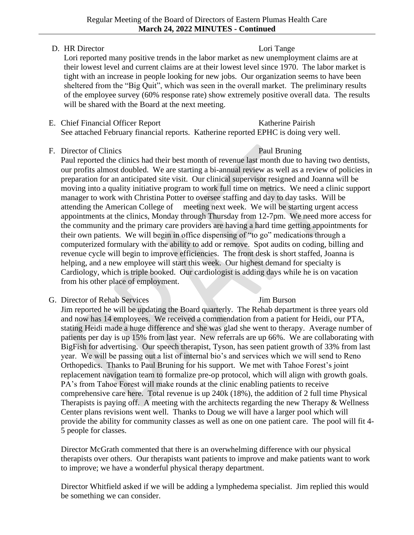# D. HR Director Lori Tange

Lori reported many positive trends in the labor market as new unemployment claims are at their lowest level and current claims are at their lowest level since 1970. The labor market is tight with an increase in people looking for new jobs. Our organization seems to have been sheltered from the "Big Quit", which was seen in the overall market. The preliminary results of the employee survey (60% response rate) show extremely positive overall data. The results will be shared with the Board at the next meeting.

E. Chief Financial Officer Report Katherine Pairish See attached February financial reports. Katherine reported EPHC is doing very well.

# F. Director of Clinics Paul Bruning

Paul reported the clinics had their best month of revenue last month due to having two dentists, our profits almost doubled. We are starting a bi-annual review as well as a review of policies in preparation for an anticipated site visit. Our clinical supervisor resigned and Joanna will be moving into a quality initiative program to work full time on metrics. We need a clinic support manager to work with Christina Potter to oversee staffing and day to day tasks. Will be attending the American College of meeting next week. We will be starting urgent access appointments at the clinics, Monday through Thursday from 12-7pm. We need more access for the community and the primary care providers are having a hard time getting appointments for their own patients. We will begin in office dispensing of "to go" medications through a computerized formulary with the ability to add or remove. Spot audits on coding, billing and revenue cycle will begin to improve efficiencies. The front desk is short staffed, Joanna is helping, and a new employee will start this week. Our highest demand for specialty is Cardiology, which is triple booked. Our cardiologist is adding days while he is on vacation from his other place of employment.

# G. Director of Rehab Services Jim Burson

Jim reported he will be updating the Board quarterly. The Rehab department is three years old and now has 14 employees. We received a commendation from a patient for Heidi, our PTA, stating Heidi made a huge difference and she was glad she went to therapy. Average number of patients per day is up 15% from last year. New referrals are up 66%. We are collaborating with BigFish for advertising. Our speech therapist, Tyson, has seen patient growth of 33% from last year. We will be passing out a list of internal bio's and services which we will send to Reno Orthopedics. Thanks to Paul Bruning for his support. We met with Tahoe Forest's joint replacement navigation team to formalize pre-op protocol, which will align with growth goals. PA's from Tahoe Forest will make rounds at the clinic enabling patients to receive comprehensive care here. Total revenue is up 240k (18%), the addition of 2 full time Physical Therapists is paying off. A meeting with the architects regarding the new Therapy & Wellness Center plans revisions went well. Thanks to Doug we will have a larger pool which will provide the ability for community classes as well as one on one patient care. The pool will fit 4- 5 people for classes.

Director McGrath commented that there is an overwhelming difference with our physical therapists over others. Our therapists want patients to improve and make patients want to work to improve; we have a wonderful physical therapy department.

Director Whitfield asked if we will be adding a lymphedema specialist. Jim replied this would be something we can consider.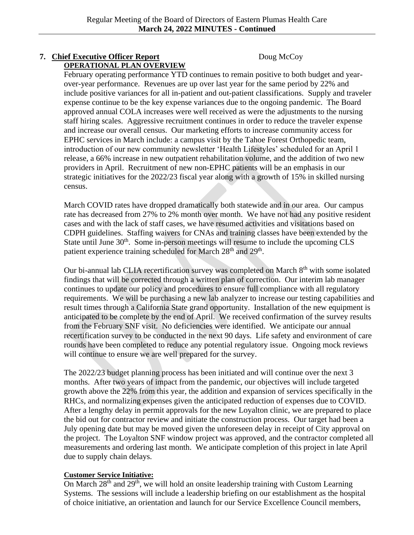### **7. Chief Executive Officer Report** Doug McCoy **OPERATIONAL PLAN OVERVIEW**

February operating performance YTD continues to remain positive to both budget and yearover-year performance. Revenues are up over last year for the same period by 22% and include positive variances for all in-patient and out-patient classifications. Supply and traveler expense continue to be the key expense variances due to the ongoing pandemic. The Board approved annual COLA increases were well received as were the adjustments to the nursing staff hiring scales. Aggressive recruitment continues in order to reduce the traveler expense and increase our overall census. Our marketing efforts to increase community access for EPHC services in March include: a campus visit by the Tahoe Forest Orthopedic team, introduction of our new community newsletter 'Health Lifestyles' scheduled for an April 1 release, a 66% increase in new outpatient rehabilitation volume, and the addition of two new providers in April. Recruitment of new non-EPHC patients will be an emphasis in our strategic initiatives for the 2022/23 fiscal year along with a growth of 15% in skilled nursing census.

March COVID rates have dropped dramatically both statewide and in our area. Our campus rate has decreased from 27% to 2% month over month. We have not had any positive resident cases and with the lack of staff cases, we have resumed activities and visitations based on CDPH guidelines. Staffing waivers for CNAs and training classes have been extended by the State until June  $30<sup>th</sup>$ . Some in-person meetings will resume to include the upcoming CLS patient experience training scheduled for March 28<sup>th</sup> and 29<sup>th</sup>.

Our bi-annual lab CLIA recertification survey was completed on March  $8<sup>th</sup>$  with some isolated findings that will be corrected through a written plan of correction. Our interim lab manager continues to update our policy and procedures to ensure full compliance with all regulatory requirements. We will be purchasing a new lab analyzer to increase our testing capabilities and result times through a California State grand opportunity. Installation of the new equipment is anticipated to be complete by the end of April. We received confirmation of the survey results from the February SNF visit. No deficiencies were identified. We anticipate our annual recertification survey to be conducted in the next 90 days. Life safety and environment of care rounds have been completed to reduce any potential regulatory issue. Ongoing mock reviews will continue to ensure we are well prepared for the survey.

The 2022/23 budget planning process has been initiated and will continue over the next 3 months. After two years of impact from the pandemic, our objectives will include targeted growth above the 22% from this year, the addition and expansion of services specifically in the RHCs, and normalizing expenses given the anticipated reduction of expenses due to COVID. After a lengthy delay in permit approvals for the new Loyalton clinic, we are prepared to place the bid out for contractor review and initiate the construction process. Our target had been a July opening date but may be moved given the unforeseen delay in receipt of City approval on the project. The Loyalton SNF window project was approved, and the contractor completed all measurements and ordering last month. We anticipate completion of this project in late April due to supply chain delays.

## **Customer Service Initiative:**

On March 28<sup>th</sup> and 29<sup>th</sup>, we will hold an onsite leadership training with Custom Learning Systems. The sessions will include a leadership briefing on our establishment as the hospital of choice initiative, an orientation and launch for our Service Excellence Council members,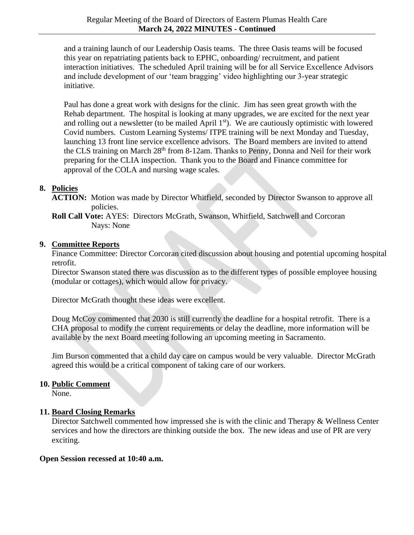and a training launch of our Leadership Oasis teams. The three Oasis teams will be focused this year on repatriating patients back to EPHC, onboarding/ recruitment, and patient interaction initiatives. The scheduled April training will be for all Service Excellence Advisors and include development of our 'team bragging' video highlighting our 3-year strategic initiative.

Paul has done a great work with designs for the clinic. Jim has seen great growth with the Rehab department. The hospital is looking at many upgrades, we are excited for the next year and rolling out a newsletter (to be mailed April  $1<sup>st</sup>$ ). We are cautiously optimistic with lowered Covid numbers. Custom Learning Systems/ ITPE training will be next Monday and Tuesday, launching 13 front line service excellence advisors. The Board members are invited to attend the CLS training on March 28<sup>th</sup> from 8-12am. Thanks to Penny, Donna and Neil for their work preparing for the CLIA inspection. Thank you to the Board and Finance committee for approval of the COLA and nursing wage scales.

# **8. Policies**

**ACTION:** Motion was made by Director Whitfield, seconded by Director Swanson to approve all policies.

**Roll Call Vote:** AYES: Directors McGrath, Swanson, Whitfield, Satchwell and Corcoran Nays: None

# **9. Committee Reports**

Finance Committee: Director Corcoran cited discussion about housing and potential upcoming hospital retrofit.

Director Swanson stated there was discussion as to the different types of possible employee housing (modular or cottages), which would allow for privacy.

Director McGrath thought these ideas were excellent.

Doug McCoy commented that 2030 is still currently the deadline for a hospital retrofit. There is a CHA proposal to modify the current requirements or delay the deadline, more information will be available by the next Board meeting following an upcoming meeting in Sacramento.

Jim Burson commented that a child day care on campus would be very valuable. Director McGrath agreed this would be a critical component of taking care of our workers.

# **10. Public Comment**

None.

# **11. Board Closing Remarks**

Director Satchwell commented how impressed she is with the clinic and Therapy & Wellness Center services and how the directors are thinking outside the box. The new ideas and use of PR are very exciting.

# **Open Session recessed at 10:40 a.m.**